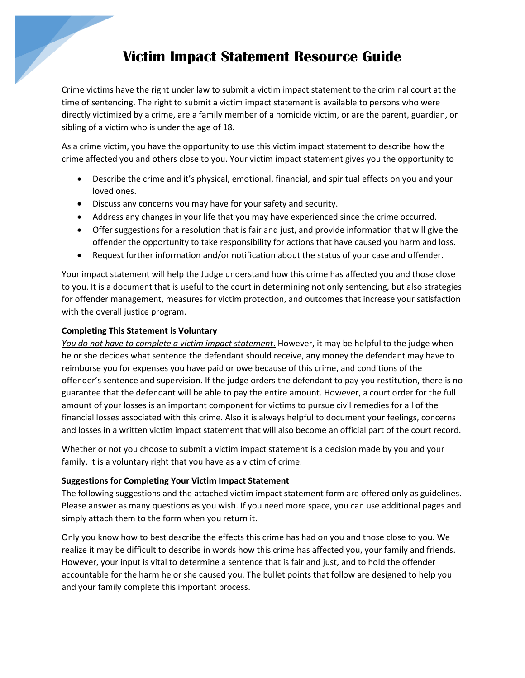## **Victim Impact Statement Resource Guide**

Crime victims have the right under law to submit a victim impact statement to the criminal court at the time of sentencing. The right to submit a victim impact statement is available to persons who were directly victimized by a crime, are a family member of a homicide victim, or are the parent, guardian, or sibling of a victim who is under the age of 18.

As a crime victim, you have the opportunity to use this victim impact statement to describe how the crime affected you and others close to you. Your victim impact statement gives you the opportunity to

- Describe the crime and it's physical, emotional, financial, and spiritual effects on you and your loved ones.
- Discuss any concerns you may have for your safety and security.
- Address any changes in your life that you may have experienced since the crime occurred.
- Offer suggestions for a resolution that is fair and just, and provide information that will give the offender the opportunity to take responsibility for actions that have caused you harm and loss.
- Request further information and/or notification about the status of your case and offender.

Your impact statement will help the Judge understand how this crime has affected you and those close to you. It is a document that is useful to the court in determining not only sentencing, but also strategies for offender management, measures for victim protection, and outcomes that increase your satisfaction with the overall justice program.

## **Completing This Statement is Voluntary**

*You do not have to complete a victim impact statement*. However, it may be helpful to the judge when he or she decides what sentence the defendant should receive, any money the defendant may have to reimburse you for expenses you have paid or owe because of this crime, and conditions of the offender's sentence and supervision. If the judge orders the defendant to pay you restitution, there is no guarantee that the defendant will be able to pay the entire amount. However, a court order for the full amount of your losses is an important component for victims to pursue civil remedies for all of the financial losses associated with this crime. Also it is always helpful to document your feelings, concerns and losses in a written victim impact statement that will also become an official part of the court record.

Whether or not you choose to submit a victim impact statement is a decision made by you and your family. It is a voluntary right that you have as a victim of crime.

## **Suggestions for Completing Your Victim Impact Statement**

The following suggestions and the attached victim impact statement form are offered only as guidelines. Please answer as many questions as you wish. If you need more space, you can use additional pages and simply attach them to the form when you return it.

Only you know how to best describe the effects this crime has had on you and those close to you. We realize it may be difficult to describe in words how this crime has affected you, your family and friends. However, your input is vital to determine a sentence that is fair and just, and to hold the offender accountable for the harm he or she caused you. The bullet points that follow are designed to help you and your family complete this important process.